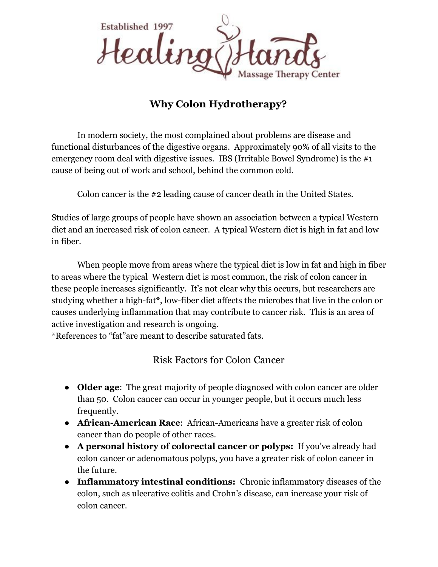

## **Why Colon Hydrotherapy?**

In modern society, the most complained about problems are disease and functional disturbances of the digestive organs. Approximately 90% of all visits to the emergency room deal with digestive issues. IBS (Irritable Bowel Syndrome) is the #1 cause of being out of work and school, behind the common cold.

Colon cancer is the #2 leading cause of cancer death in the United States.

Studies of large groups of people have shown an association between a typical Western diet and an increased risk of colon cancer. A typical Western diet is high in fat and low in fiber.

When people move from areas where the typical diet is low in fat and high in fiber to areas where the typical Western diet is most common, the risk of colon cancer in these people increases significantly. It's not clear why this occurs, but researchers are studying whether a high-fat\*, low-fiber diet affects the microbes that live in the colon or causes underlying inflammation that may contribute to cancer risk. This is an area of active investigation and research is ongoing.

\*References to "fat"are meant to describe saturated fats.

Risk Factors for Colon Cancer

- **Older age**: The great majority of people diagnosed with colon cancer are older than 50. Colon cancer can occur in younger people, but it occurs much less frequently.
- **African-American Race:** African-Americans have a greater risk of colon cancer than do people of other races.
- **● A personal history of colorectal cancer or polyps:**  If you've already had colon cancer or adenomatous polyps, you have a greater risk of colon cancer in the future.
- **● Inflammatory intestinal conditions:** Chronic inflammatory diseases of the colon, such as ulcerative colitis and Crohn's disease, can increase your risk of colon cancer.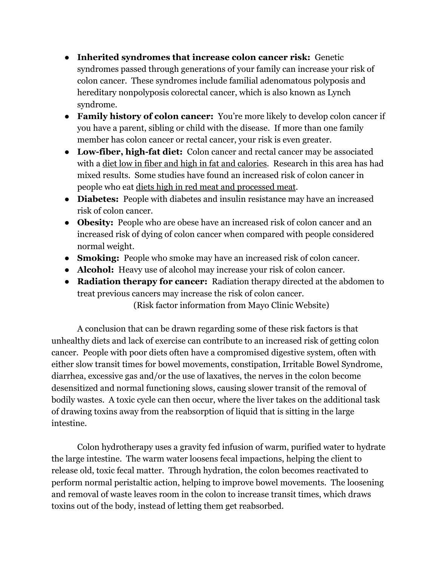- **Inherited syndromes that increase colon cancer risk: Genetic** syndromes passed through generations of your family can increase your risk of colon cancer. These syndromes include familial adenomatous polyposis and hereditary nonpolyposis colorectal cancer, which is also known as Lynch syndrome.
- **● Family history of colon cancer:** You're more likely to develop colon cancer if you have a parent, sibling or child with the disease. If more than one family member has colon cancer or rectal cancer, your risk is even greater.
- Low-fiber, high-fat diet: Colon cancer and rectal cancer may be associated with a diet low in fiber and high in fat and calories. Research in this area has had mixed results. Some studies have found an increased risk of colon cancer in people who eat diets high in red meat and processed meat.
- **● Diabetes:** People with diabetes and insulin resistance may have an increased risk of colon cancer.
- **● Obesity:**  People who are obese have an increased risk of colon cancer and an increased risk of dying of colon cancer when compared with people considered normal weight.
- **Smoking:** People who smoke may have an increased risk of colon cancer.
- **Alcohol:** Heavy use of alcohol may increase your risk of colon cancer.
- **Radiation therapy for cancer:** Radiation therapy directed at the abdomen to treat previous cancers may increase the risk of colon cancer.

(Risk factor information from Mayo Clinic Website)

A conclusion that can be drawn regarding some of these risk factors is that unhealthy diets and lack of exercise can contribute to an increased risk of getting colon cancer. People with poor diets often have a compromised digestive system, often with either slow transit times for bowel movements, constipation, Irritable Bowel Syndrome, diarrhea, excessive gas and/or the use of laxatives, the nerves in the colon become desensitized and normal functioning slows, causing slower transit of the removal of bodily wastes. A toxic cycle can then occur, where the liver takes on the additional task of drawing toxins away from the reabsorption of liquid that is sitting in the large intestine.

Colon hydrotherapy uses a gravity fed infusion of warm, purified water to hydrate the large intestine. The warm water loosens fecal impactions, helping the client to release old, toxic fecal matter. Through hydration, the colon becomes reactivated to perform normal peristaltic action, helping to improve bowel movements. The loosening and removal of waste leaves room in the colon to increase transit times, which draws toxins out of the body, instead of letting them get reabsorbed.